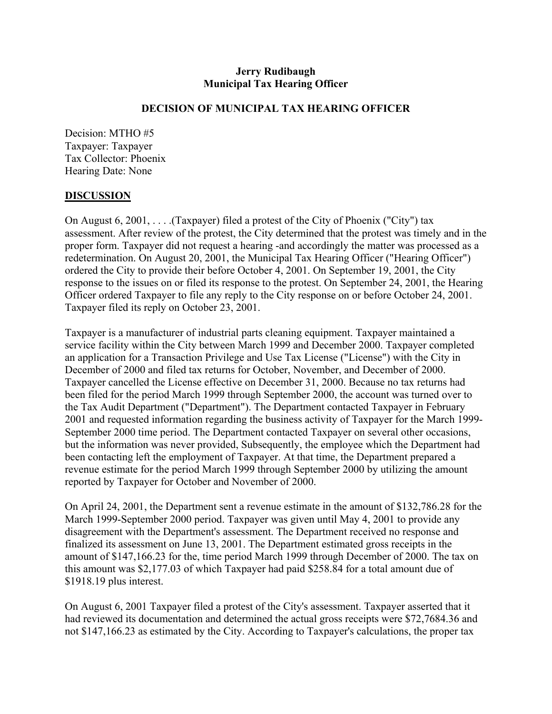## **Jerry Rudibaugh Municipal Tax Hearing Officer**

#### **DECISION OF MUNICIPAL TAX HEARING OFFICER**

Decision: MTHO #5 Taxpayer: Taxpayer Tax Collector: Phoenix Hearing Date: None

### **DISCUSSION**

On August 6, 2001, . . . .(Taxpayer) filed a protest of the City of Phoenix ("City") tax assessment. After review of the protest, the City determined that the protest was timely and in the proper form. Taxpayer did not request a hearing -and accordingly the matter was processed as a redetermination. On August 20, 2001, the Municipal Tax Hearing Officer ("Hearing Officer") ordered the City to provide their before October 4, 2001. On September 19, 2001, the City response to the issues on or filed its response to the protest. On September 24, 2001, the Hearing Officer ordered Taxpayer to file any reply to the City response on or before October 24, 2001. Taxpayer filed its reply on October 23, 2001.

Taxpayer is a manufacturer of industrial parts cleaning equipment. Taxpayer maintained a service facility within the City between March 1999 and December 2000. Taxpayer completed an application for a Transaction Privilege and Use Tax License ("License") with the City in December of 2000 and filed tax returns for October, November, and December of 2000. Taxpayer cancelled the License effective on December 31, 2000. Because no tax returns had been filed for the period March 1999 through September 2000, the account was turned over to the Tax Audit Department ("Department"). The Department contacted Taxpayer in February 2001 and requested information regarding the business activity of Taxpayer for the March 1999- September 2000 time period. The Department contacted Taxpayer on several other occasions, but the information was never provided, Subsequently, the employee which the Department had been contacting left the employment of Taxpayer. At that time, the Department prepared a revenue estimate for the period March 1999 through September 2000 by utilizing the amount reported by Taxpayer for October and November of 2000.

On April 24, 2001, the Department sent a revenue estimate in the amount of \$132,786.28 for the March 1999-September 2000 period. Taxpayer was given until May 4, 2001 to provide any disagreement with the Department's assessment. The Department received no response and finalized its assessment on June 13, 2001. The Department estimated gross receipts in the amount of \$147,166.23 for the, time period March 1999 through December of 2000. The tax on this amount was \$2,177.03 of which Taxpayer had paid \$258.84 for a total amount due of \$1918.19 plus interest.

On August 6, 2001 Taxpayer filed a protest of the City's assessment. Taxpayer asserted that it had reviewed its documentation and determined the actual gross receipts were \$72,7684.36 and not \$147,166.23 as estimated by the City. According to Taxpayer's calculations, the proper tax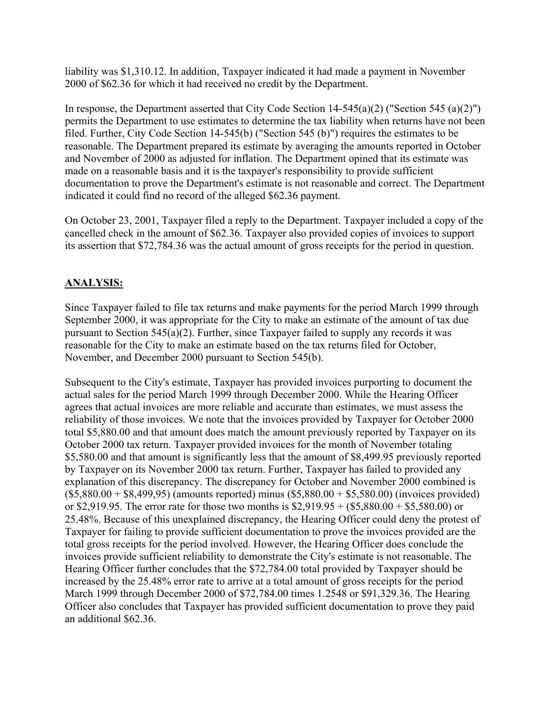liability was \$1,310.12. In addition, Taxpayer indicated it had made a payment in November 2000 of \$62.36 for which it had received no credit by the Department.

In response, the Department asserted that City Code Section 14-545(a)(2) ("Section 545 (a)(2)") permits the Department to use estimates to determine the tax liability when returns have not been filed. Further, City Code Section 14-545(b) ("Section 545 (b)") requires the estimates to be reasonable. The Department prepared its estimate by averaging the amounts reported in October and November of 2000 as adjusted for inflation. The Department opined that its estimate was made on a reasonable basis and it is the taxpayer's responsibility to provide sufficient documentation to prove the Department's estimate is not reasonable and correct. The Department indicated it could find no record of the alleged \$62.36 payment.

On October 23, 2001, Taxpayer filed a reply to the Department. Taxpayer included a copy of the cancelled check in the amount of \$62.36. Taxpayer also provided copies of invoices to support its assertion that \$72,784.36 was the actual amount of gross receipts for the period in question.

# **ANALYSIS:**

Since Taxpayer failed to file tax returns and make payments for the period March 1999 through September 2000, it was appropriate for the City to make an estimate of the amount of tax due pursuant to Section 545(a)(2). Further, since Taxpayer failed to supply any records it was reasonable for the City to make an estimate based on the tax returns filed for October, November, and December 2000 pursuant to Section 545(b).

Subsequent to the City's estimate, Taxpayer has provided invoices purporting to document the actual sales for the period March 1999 through December 2000. While the Hearing Officer agrees that actual invoices are more reliable and accurate than estimates, we must assess the reliability of those invoices. We note that the invoices provided by Taxpayer for October 2000 total \$5,880.00 and that amount does match the amount previously reported by Taxpayer on its October 2000 tax return. Taxpayer provided invoices for the month of November totaling \$5,580.00 and that amount is significantly less that the amount of \$8,499.95 previously reported by Taxpayer on its November 2000 tax return. Further, Taxpayer has failed to provided any explanation of this discrepancy. The discrepancy for October and November 2000 combined is  $($5,880.00 + $8,499.95)$  (amounts reported) minus  $($5,880.00 + $5,580.00)$  (invoices provided) or \$2,919.95. The error rate for those two months is  $$2,919.95 + ($5,880.00 + $5,580.00)$  or 25.48%. Because of this unexplained discrepancy, the Hearing Officer could deny the protest of Taxpayer for failing to provide sufficient documentation to prove the invoices provided are the total gross receipts for the period involved. However, the Hearing Officer does conclude the invoices provide sufficient reliability to demonstrate the City's estimate is not reasonable. The Hearing Officer further concludes that the \$72,784.00 total provided by Taxpayer should be increased by the 25.48% error rate to arrive at a total amount of gross receipts for the period March 1999 through December 2000 of \$72,784.00 times 1.2548 or \$91,329.36. The Hearing Officer also concludes that Taxpayer has provided sufficient documentation to prove they paid an additional \$62.36.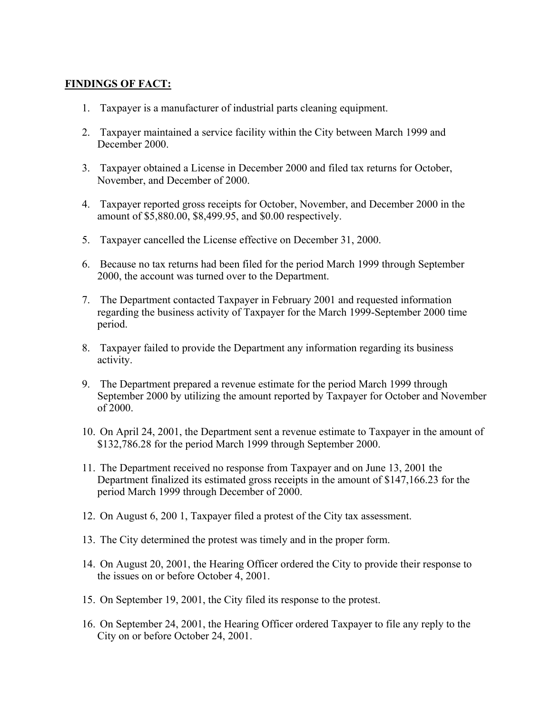## **FINDINGS OF FACT:**

- 1. Taxpayer is a manufacturer of industrial parts cleaning equipment.
- 2. Taxpayer maintained a service facility within the City between March 1999 and December 2000.
- 3. Taxpayer obtained a License in December 2000 and filed tax returns for October, November, and December of 2000.
- 4. Taxpayer reported gross receipts for October, November, and December 2000 in the amount of \$5,880.00, \$8,499.95, and \$0.00 respectively.
- 5. Taxpayer cancelled the License effective on December 31, 2000.
- 6. Because no tax returns had been filed for the period March 1999 through September 2000, the account was turned over to the Department.
- 7. The Department contacted Taxpayer in February 2001 and requested information regarding the business activity of Taxpayer for the March 1999-September 2000 time period.
- 8. Taxpayer failed to provide the Department any information regarding its business activity.
- 9. The Department prepared a revenue estimate for the period March 1999 through September 2000 by utilizing the amount reported by Taxpayer for October and November of 2000.
- 10. On April 24, 2001, the Department sent a revenue estimate to Taxpayer in the amount of \$132,786.28 for the period March 1999 through September 2000.
- 11. The Department received no response from Taxpayer and on June 13, 2001 the Department finalized its estimated gross receipts in the amount of \$147,166.23 for the period March 1999 through December of 2000.
- 12. On August 6, 200 1, Taxpayer filed a protest of the City tax assessment.
- 13. The City determined the protest was timely and in the proper form.
- 14. On August 20, 2001, the Hearing Officer ordered the City to provide their response to the issues on or before October 4, 2001.
- 15. On September 19, 2001, the City filed its response to the protest.
- 16. On September 24, 2001, the Hearing Officer ordered Taxpayer to file any reply to the City on or before October 24, 2001.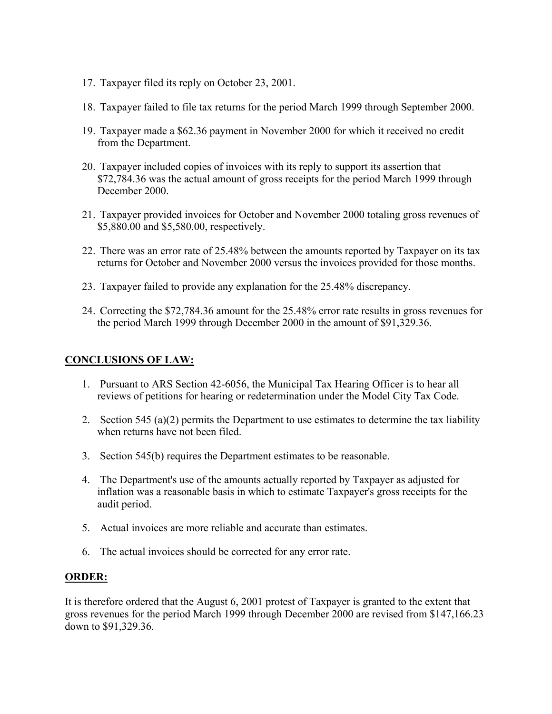- 17. Taxpayer filed its reply on October 23, 2001.
- 18. Taxpayer failed to file tax returns for the period March 1999 through September 2000.
- 19. Taxpayer made a \$62.36 payment in November 2000 for which it received no credit from the Department.
- 20. Taxpayer included copies of invoices with its reply to support its assertion that \$72,784.36 was the actual amount of gross receipts for the period March 1999 through December 2000.
- 21. Taxpayer provided invoices for October and November 2000 totaling gross revenues of \$5,880.00 and \$5,580.00, respectively.
- 22. There was an error rate of 25.48% between the amounts reported by Taxpayer on its tax returns for October and November 2000 versus the invoices provided for those months.
- 23. Taxpayer failed to provide any explanation for the 25.48% discrepancy.
- 24. Correcting the \$72,784.36 amount for the 25.48% error rate results in gross revenues for the period March 1999 through December 2000 in the amount of \$91,329.36.

## **CONCLUSIONS OF LAW:**

- 1. Pursuant to ARS Section 42-6056, the Municipal Tax Hearing Officer is to hear all reviews of petitions for hearing or redetermination under the Model City Tax Code.
- 2. Section 545 (a)(2) permits the Department to use estimates to determine the tax liability when returns have not been filed.
- 3. Section 545(b) requires the Department estimates to be reasonable.
- 4. The Department's use of the amounts actually reported by Taxpayer as adjusted for inflation was a reasonable basis in which to estimate Taxpayer's gross receipts for the audit period.
- 5. Actual invoices are more reliable and accurate than estimates.
- 6. The actual invoices should be corrected for any error rate.

### **ORDER:**

It is therefore ordered that the August 6, 2001 protest of Taxpayer is granted to the extent that gross revenues for the period March 1999 through December 2000 are revised from \$147,166.23 down to \$91,329.36.